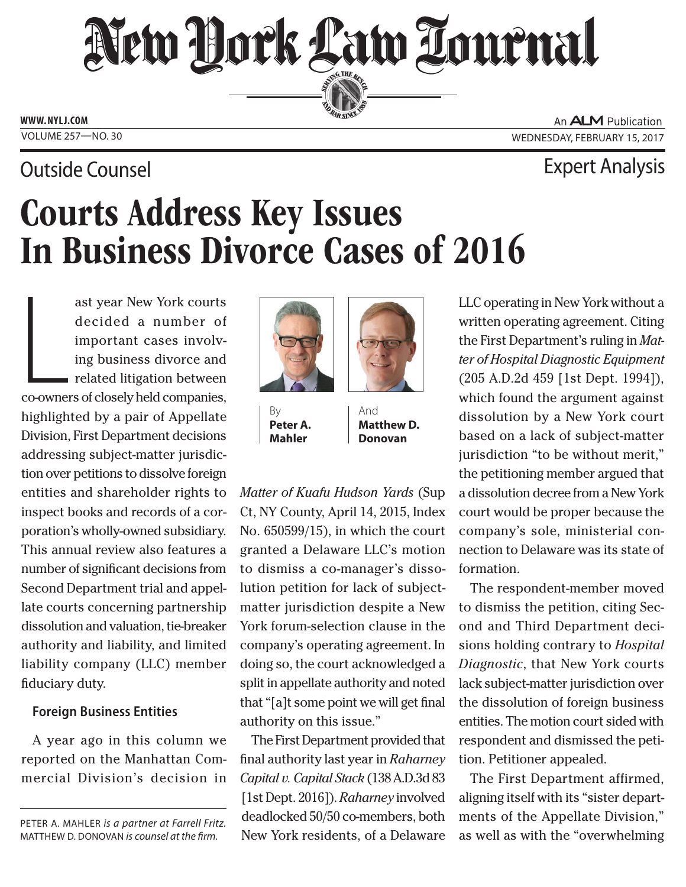# New Dock Law Lournal SERVING THE BEN

**ED BAR SINCE 188** 

**www. NYLJ.com**

# Outside Counsel Expert Analysis

An **ALM** Publication VOLUME 257-NO. 30 WEDNESDAY, FEBRUARY 15, 2017

# Courts Address Key Issues In Business Divorce Cases of 2016

Land Co-owner ast year New York courts decided a number of important cases involving business divorce and related litigation between co-owners of closely held companies, highlighted by a pair of Appellate Division, First Department decisions addressing subject-matter jurisdiction over petitions to dissolve foreign entities and shareholder rights to inspect books and records of a corporation's wholly-owned subsidiary. This annual review also features a number of significant decisions from Second Department trial and appellate courts concerning partnership dissolution and valuation, tie-breaker authority and liability, and limited liability company (LLC) member fiduciary duty.

## **Foreign Business Entities**

A year ago in this column we reported on the Manhattan Commercial Division's decision in



By **Peter A. Mahler**



And **Matthew D. Donovan**

*Matter of Kuafu Hudson Yards* (Sup Ct, NY County, April 14, 2015, Index No. 650599/15), in which the court granted a Delaware LLC's motion to dismiss a co-manager's dissolution petition for lack of subjectmatter jurisdiction despite a New York forum-selection clause in the company's operating agreement. In doing so, the court acknowledged a split in appellate authority and noted that "[a]t some point we will get final authority on this issue."

The First Department provided that final authority last year in *Raharney Capital v. Capital Stack* (138 A.D.3d 83 [1st Dept. 2016]). *Raharney* involved deadlocked 50/50 co-members, both New York residents, of a Delaware LLC operating in New York without a written operating agreement. Citing the First Department's ruling in *Matter of Hospital Diagnostic Equipment* (205 A.D.2d 459 [1st Dept. 1994]), which found the argument against dissolution by a New York court based on a lack of subject-matter jurisdiction "to be without merit," the petitioning member argued that a dissolution decree from a New York court would be proper because the company's sole, ministerial connection to Delaware was its state of formation.

The respondent-member moved to dismiss the petition, citing Second and Third Department decisions holding contrary to *Hospital Diagnostic*, that New York courts lack subject-matter jurisdiction over the dissolution of foreign business entities. The motion court sided with respondent and dismissed the petition. Petitioner appealed.

The First Department affirmed, aligning itself with its "sister departments of the Appellate Division," as well as with the "overwhelming

Peter A. Mahler *is a partner at Farrell Fritz.*  Matthew D. Donovan *is counsel at the firm.*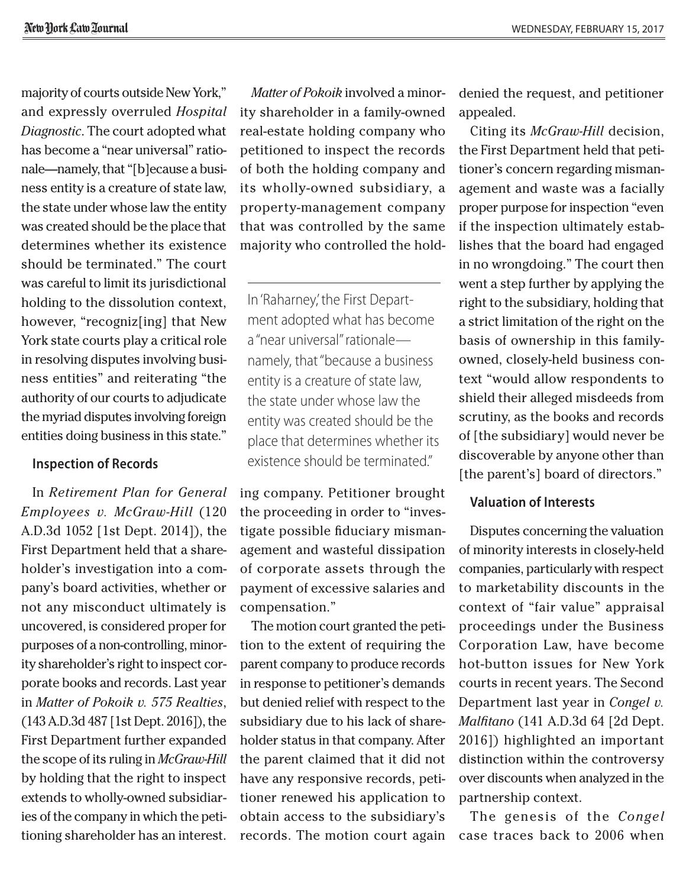majority of courts outside New York," and expressly overruled *Hospital Diagnostic*. The court adopted what has become a "near universal" rationale—namely, that "[b]ecause a business entity is a creature of state law, the state under whose law the entity was created should be the place that determines whether its existence should be terminated." The court was careful to limit its jurisdictional holding to the dissolution context, however, "recogniz[ing] that New York state courts play a critical role in resolving disputes involving business entities" and reiterating "the authority of our courts to adjudicate the myriad disputes involving foreign entities doing business in this state."

### **Inspection of Records**

In *Retirement Plan for General Employees v. McGraw-Hill* (120 A.D.3d 1052 [1st Dept. 2014]), the First Department held that a shareholder's investigation into a company's board activities, whether or not any misconduct ultimately is uncovered, is considered proper for purposes of a non-controlling, minority shareholder's right to inspect corporate books and records. Last year in *Matter of Pokoik v. 575 Realties*, (143 A.D.3d 487 [1st Dept. 2016]), the First Department further expanded the scope of its ruling in *McGraw-Hill* by holding that the right to inspect extends to wholly-owned subsidiaries of the company in which the petitioning shareholder has an interest.

*Matter of Pokoik* involved a minority shareholder in a family-owned real-estate holding company who petitioned to inspect the records of both the holding company and its wholly-owned subsidiary, a property-management company that was controlled by the same majority who controlled the hold-

In 'Raharney,' the First Department adopted what has become a "near universal" rationale namely, that "because a business entity is a creature of state law, the state under whose law the entity was created should be the place that determines whether its existence should be terminated."

ing company. Petitioner brought the proceeding in order to "investigate possible fiduciary mismanagement and wasteful dissipation of corporate assets through the payment of excessive salaries and compensation."

The motion court granted the petition to the extent of requiring the parent company to produce records in response to petitioner's demands but denied relief with respect to the subsidiary due to his lack of shareholder status in that company. After the parent claimed that it did not have any responsive records, petitioner renewed his application to obtain access to the subsidiary's records. The motion court again denied the request, and petitioner appealed.

Citing its *McGraw-Hill* decision, the First Department held that petitioner's concern regarding mismanagement and waste was a facially proper purpose for inspection "even if the inspection ultimately establishes that the board had engaged in no wrongdoing." The court then went a step further by applying the right to the subsidiary, holding that a strict limitation of the right on the basis of ownership in this familyowned, closely-held business context "would allow respondents to shield their alleged misdeeds from scrutiny, as the books and records of [the subsidiary] would never be discoverable by anyone other than [the parent's] board of directors."

### **Valuation of Interests**

Disputes concerning the valuation of minority interests in closely-held companies, particularly with respect to marketability discounts in the context of "fair value" appraisal proceedings under the Business Corporation Law, have become hot-button issues for New York courts in recent years. The Second Department last year in *Congel v. Malfitano* (141 A.D.3d 64 [2d Dept. 2016]) highlighted an important distinction within the controversy over discounts when analyzed in the partnership context.

The genesis of the *Congel* case traces back to 2006 when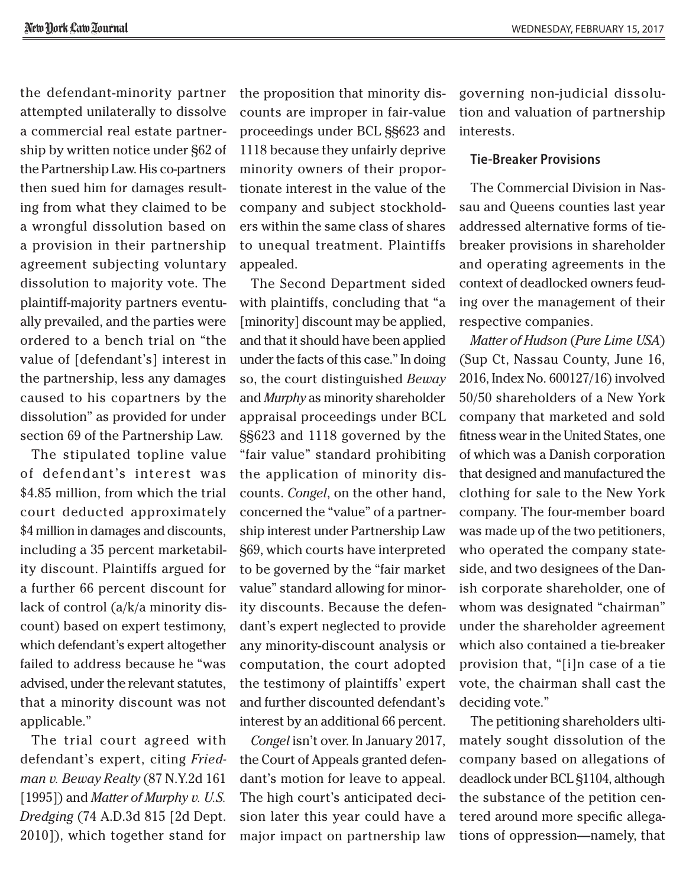the defendant-minority partner attempted unilaterally to dissolve a commercial real estate partnership by written notice under §62 of the Partnership Law. His co-partners then sued him for damages resulting from what they claimed to be a wrongful dissolution based on a provision in their partnership agreement subjecting voluntary dissolution to majority vote. The plaintiff-majority partners eventually prevailed, and the parties were ordered to a bench trial on "the value of [defendant's] interest in the partnership, less any damages caused to his copartners by the dissolution" as provided for under section 69 of the Partnership Law.

The stipulated topline value of defendant's interest was \$4.85 million, from which the trial court deducted approximately \$4 million in damages and discounts, including a 35 percent marketability discount. Plaintiffs argued for a further 66 percent discount for lack of control (a/k/a minority discount) based on expert testimony, which defendant's expert altogether failed to address because he "was advised, under the relevant statutes, that a minority discount was not applicable."

The trial court agreed with defendant's expert, citing *Friedman v. Beway Realty* (87 N.Y.2d 161 [1995]) and *Matter of Murphy v. U.S. Dredging* (74 A.D.3d 815 [2d Dept. 2010]), which together stand for the proposition that minority discounts are improper in fair-value proceedings under BCL §§623 and 1118 because they unfairly deprive minority owners of their proportionate interest in the value of the company and subject stockholders within the same class of shares to unequal treatment. Plaintiffs appealed.

The Second Department sided with plaintiffs, concluding that "a [minority] discount may be applied, and that it should have been applied under the facts of this case." In doing so, the court distinguished *Beway* and *Murphy* as minority shareholder appraisal proceedings under BCL §§623 and 1118 governed by the "fair value" standard prohibiting the application of minority discounts. *Congel*, on the other hand, concerned the "value" of a partnership interest under Partnership Law §69, which courts have interpreted to be governed by the "fair market value" standard allowing for minority discounts. Because the defendant's expert neglected to provide any minority-discount analysis or computation, the court adopted the testimony of plaintiffs' expert and further discounted defendant's interest by an additional 66 percent.

*Congel* isn't over. In January 2017, the Court of Appeals granted defendant's motion for leave to appeal. The high court's anticipated decision later this year could have a major impact on partnership law

governing non-judicial dissolution and valuation of partnership interests.

#### **Tie-Breaker Provisions**

The Commercial Division in Nassau and Queens counties last year addressed alternative forms of tiebreaker provisions in shareholder and operating agreements in the context of deadlocked owners feuding over the management of their respective companies.

*Matter of Hudson* (*Pure Lime USA*) (Sup Ct, Nassau County, June 16, 2016, Index No. 600127/16) involved 50/50 shareholders of a New York company that marketed and sold fitness wear in the United States, one of which was a Danish corporation that designed and manufactured the clothing for sale to the New York company. The four-member board was made up of the two petitioners, who operated the company stateside, and two designees of the Danish corporate shareholder, one of whom was designated "chairman" under the shareholder agreement which also contained a tie-breaker provision that, "[i]n case of a tie vote, the chairman shall cast the deciding vote."

The petitioning shareholders ultimately sought dissolution of the company based on allegations of deadlock under BCL §1104, although the substance of the petition centered around more specific allegations of oppression—namely, that